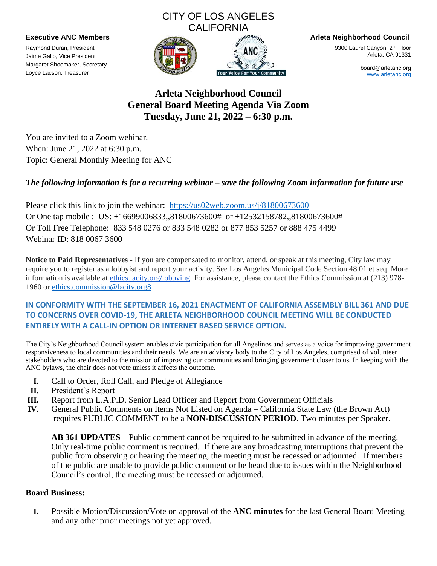### CITY OF LOS ANGELES **CALIFORNIA**

Raymond Duran, President Jaime Gallo, Vice President Margaret Shoemaker, Secretary Loyce Lacson, Treasurer





**Executive ANC Members Arleta Neighborhood Council**

9300 Laurel Canyon. 2<sup>nd</sup> Floor Arleta, CA 91331

> board@arletanc.org [www.arletanc.org](http://www.arletanc.org/)

**Arleta Neighborhood Council General Board Meeting Agenda Via Zoom Tuesday, June 21, 2022 – 6:30 p.m.**

You are invited to a Zoom webinar. When: June 21, 2022 at 6:30 p.m. Topic: General Monthly Meeting for ANC

### *The following information is for a recurring webinar – save the following Zoom information for future use*

Please click this link to join the webinar: <https://us02web.zoom.us/j/81800673600> Or One tap mobile : US: +16699006833,,81800673600# or +12532158782,,81800673600# Or Toll Free Telephone: 833 548 0276 or 833 548 0282 or 877 853 5257 or 888 475 4499 Webinar ID: 818 0067 3600

**Notice to Paid Representatives -** If you are compensated to monitor, attend, or speak at this meeting, City law may require you to register as a lobbyist and report your activity. See Los Angeles Municipal Code Section 48.01 et seq. More information is available at [ethics.lacity.org/lobbying.](http://ethics.lacity.org/lobbying) For assistance, please contact the Ethics Commission at (213) 978- 1960 or [ethics.commission@lacity.org8](mailto:ethics.commission@lacity.org8)

### **IN CONFORMITY WITH THE SEPTEMBER 16, 2021 ENACTMENT OF CALIFORNIA ASSEMBLY BILL 361 AND DUE TO CONCERNS OVER COVID-19, THE ARLETA NEIGHBORHOOD COUNCIL MEETING WILL BE CONDUCTED ENTIRELY WITH A CALL-IN OPTION OR INTERNET BASED SERVICE OPTION.**

The City's Neighborhood Council system enables civic participation for all Angelinos and serves as a voice for improving government responsiveness to local communities and their needs. We are an advisory body to the City of Los Angeles, comprised of volunteer stakeholders who are devoted to the mission of improving our communities and bringing government closer to us. In keeping with the ANC bylaws, the chair does not vote unless it affects the outcome.

- **I.** Call to Order, Roll Call, and Pledge of Allegiance
- **II.** President's Report
- **III.** Report from L.A.P.D. Senior Lead Officer and Report from Government Officials
- **IV.** General Public Comments on Items Not Listed on Agenda California State Law (the Brown Act) requires PUBLIC COMMENT to be a **NON-DISCUSSION PERIOD**. Two minutes per Speaker.

**AB 361 UPDATES** – Public comment cannot be required to be submitted in advance of the meeting. Only real-time public comment is required. If there are any broadcasting interruptions that prevent the public from observing or hearing the meeting, the meeting must be recessed or adjourned. If members of the public are unable to provide public comment or be heard due to issues within the Neighborhood Council's control, the meeting must be recessed or adjourned.

#### **Board Business:**

**I.** Possible Motion/Discussion/Vote on approval of the **ANC minutes** for the last General Board Meeting and any other prior meetings not yet approved.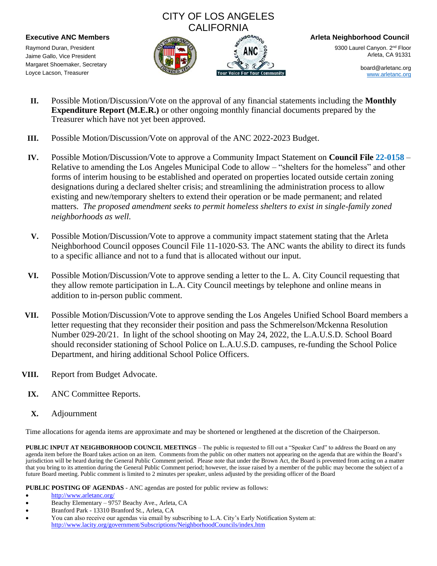# CITY OF LOS ANGELES **CALIFORNIA**

Raymond Duran, President Jaime Gallo, Vice President Margaret Shoemaker, Secretary Loyce Lacson, Treasurer





**Executive ANC Members Arleta Neighborhood Council**

9300 Laurel Canyon. 2<sup>nd</sup> Floor Arleta, CA 91331

> board@arletanc.org [www.arletanc.org](http://www.arletanc.org/)

- **II.** Possible Motion/Discussion/Vote on the approval of any financial statements including the **Monthly Expenditure Report (M.E.R.)** or other ongoing monthly financial documents prepared by the Treasurer which have not yet been approved.
- **III.** Possible Motion/Discussion/Vote on approval of the ANC 2022-2023 Budget.
- **IV.** Possible Motion/Discussion/Vote to approve a Community Impact Statement on **Council File 22-0158** Relative to amending the Los Angeles Municipal Code to allow – "shelters for the homeless" and other forms of interim housing to be established and operated on properties located outside certain zoning designations during a declared shelter crisis; and streamlining the administration process to allow existing and new/temporary shelters to extend their operation or be made permanent; and related matters. *The proposed amendment seeks to permit homeless shelters to exist in single-family zoned neighborhoods as well.*
- **V.** Possible Motion/Discussion/Vote to approve a community impact statement stating that the Arleta Neighborhood Council opposes Council File 11-1020-S3. The ANC wants the ability to direct its funds to a specific alliance and not to a fund that is allocated without our input.
- **VI.** Possible Motion/Discussion/Vote to approve sending a letter to the L. A. City Council requesting that they allow remote participation in L.A. City Council meetings by telephone and online means in addition to in-person public comment.
- **VII.** Possible Motion/Discussion/Vote to approve sending the Los Angeles Unified School Board members a letter requesting that they reconsider their position and pass the Schmerelson/Mckenna Resolution Number 029-20/21. In light of the school shooting on May 24, 2022, the L.A.U.S.D. School Board should reconsider stationing of School Police on L.A.U.S.D. campuses, re-funding the School Police Department, and hiring additional School Police Officers.
- **VIII.** Report from Budget Advocate.
	- **IX.** ANC Committee Reports.
	- **X.** Adjournment

Time allocations for agenda items are approximate and may be shortened or lengthened at the discretion of the Chairperson.

**PUBLIC INPUT AT NEIGHBORHOOD COUNCIL MEETINGS** – The public is requested to fill out a "Speaker Card" to address the Board on any agenda item before the Board takes action on an item. Comments from the public on other matters not appearing on the agenda that are within the Board's jurisdiction will be heard during the General Public Comment period. Please note that under the Brown Act, the Board is prevented from acting on a matter that you bring to its attention during the General Public Comment period; however, the issue raised by a member of the public may become the subject of a future Board meeting. Public comment is limited to 2 minutes per speaker, unless adjusted by the presiding officer of the Board

**PUBLIC POSTING OF AGENDAS** - ANC agendas are posted for public review as follows:

- Beachy Elementary 9757 Beachy Ave., Arleta, CA
- Branford Park 13310 Branford St., Arleta, CA
- You can also receive our agendas via email by subscribing to L.A. City's Early Notification System at: <http://www.lacity.org/government/Subscriptions/NeighborhoodCouncils/index.htm>

<sup>•</sup> <http://www.arletanc.org/>